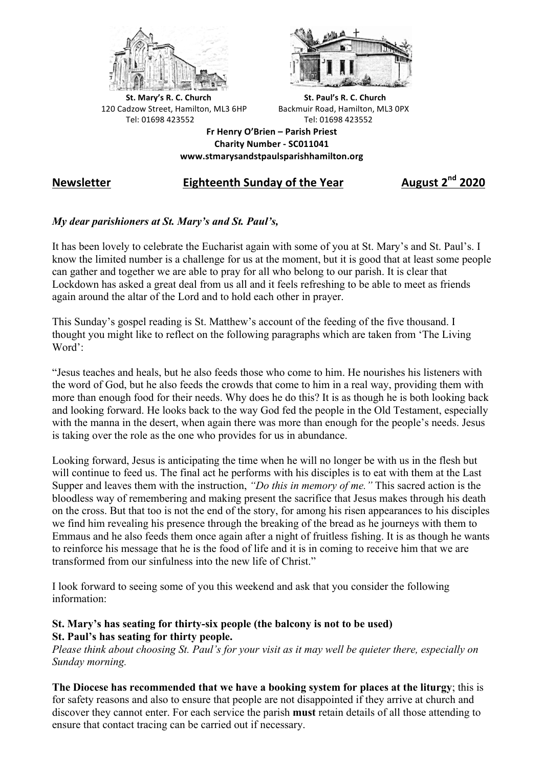



**St.** Mary's R. C. Church St. Paul's R. C. Church 120 Cadzow Street, Hamilton, ML3 6HP Backmuir Road, Hamilton, ML3 0PX Tel: 01698 423552 Tel: 01698 423552

**Fr Henry O'Brien – Parish Priest Charity Number - SC011041 www.stmarysandstpaulsparishhamilton.org**

## **Newsletter Eighteenth Sunday of the Year August 2nd 2020**

## *My dear parishioners at St. Mary's and St. Paul's,*

It has been lovely to celebrate the Eucharist again with some of you at St. Mary's and St. Paul's. I know the limited number is a challenge for us at the moment, but it is good that at least some people can gather and together we are able to pray for all who belong to our parish. It is clear that Lockdown has asked a great deal from us all and it feels refreshing to be able to meet as friends again around the altar of the Lord and to hold each other in prayer.

This Sunday's gospel reading is St. Matthew's account of the feeding of the five thousand. I thought you might like to reflect on the following paragraphs which are taken from 'The Living Word':

"Jesus teaches and heals, but he also feeds those who come to him. He nourishes his listeners with the word of God, but he also feeds the crowds that come to him in a real way, providing them with more than enough food for their needs. Why does he do this? It is as though he is both looking back and looking forward. He looks back to the way God fed the people in the Old Testament, especially with the manna in the desert, when again there was more than enough for the people's needs. Jesus is taking over the role as the one who provides for us in abundance.

Looking forward, Jesus is anticipating the time when he will no longer be with us in the flesh but will continue to feed us. The final act he performs with his disciples is to eat with them at the Last Supper and leaves them with the instruction, *"Do this in memory of me."* This sacred action is the bloodless way of remembering and making present the sacrifice that Jesus makes through his death on the cross. But that too is not the end of the story, for among his risen appearances to his disciples we find him revealing his presence through the breaking of the bread as he journeys with them to Emmaus and he also feeds them once again after a night of fruitless fishing. It is as though he wants to reinforce his message that he is the food of life and it is in coming to receive him that we are transformed from our sinfulness into the new life of Christ."

I look forward to seeing some of you this weekend and ask that you consider the following information:

## **St. Mary's has seating for thirty-six people (the balcony is not to be used) St. Paul's has seating for thirty people.**

*Please think about choosing St. Paul's for your visit as it may well be quieter there, especially on Sunday morning.*

**The Diocese has recommended that we have a booking system for places at the liturgy**; this is for safety reasons and also to ensure that people are not disappointed if they arrive at church and discover they cannot enter. For each service the parish **must** retain details of all those attending to ensure that contact tracing can be carried out if necessary.